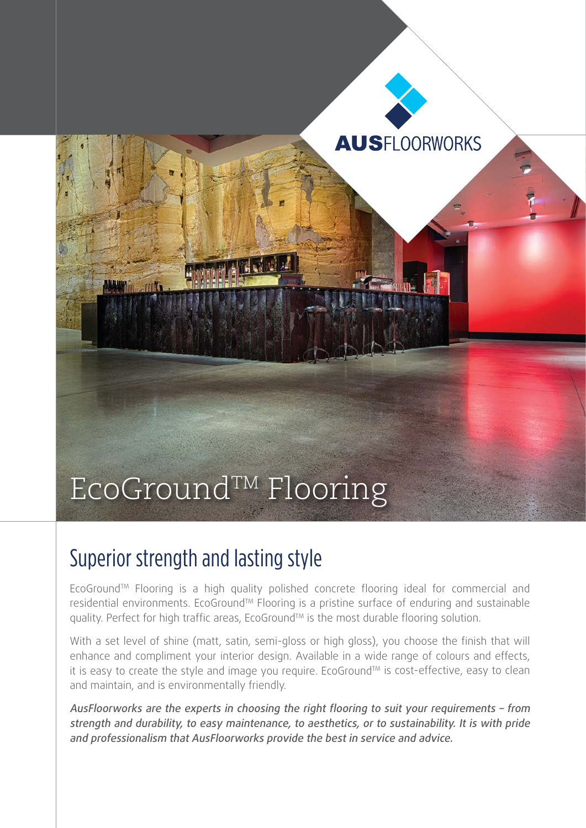

## Superior strength and lasting style

EcoGround™ Flooring is a high quality polished concrete flooring ideal for commercial and residential environments. EcoGround™ Flooring is a pristine surface of enduring and sustainable quality. Perfect for high traffic areas, EcoGround™ is the most durable flooring solution.

With a set level of shine (matt, satin, semi-gloss or high gloss), you choose the finish that will enhance and compliment your interior design. Available in a wide range of colours and effects, it is easy to create the style and image you require. EcoGround™ is cost-effective, easy to clean and maintain, and is environmentally friendly.

AusFloorworks are the experts in choosing the right flooring to suit your requirements – from strength and durability, to easy maintenance, to aesthetics, or to sustainability. It is with pride and professionalism that AusFloorworks provide the best in service and advice.